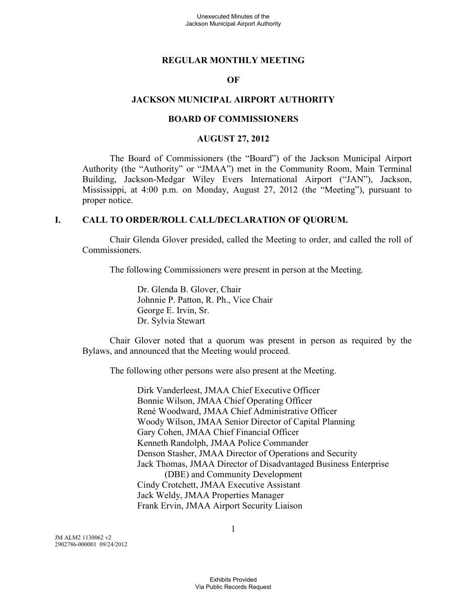### **REGULAR MONTHLY MEETING**

### **OF**

### **JACKSON MUNICIPAL AIRPORT AUTHORITY**

### **BOARD OF COMMISSIONERS**

#### **AUGUST 27, 2012**

The Board of Commissioners (the "Board") of the Jackson Municipal Airport Authority (the "Authority" or "JMAA") met in the Community Room, Main Terminal Building, Jackson-Medgar Wiley Evers International Airport ("JAN"), Jackson, Mississippi, at 4:00 p.m. on Monday, August 27, 2012 (the "Meeting"), pursuant to proper notice.

#### **I. CALL TO ORDER/ROLL CALL/DECLARATION OF QUORUM.**

Chair Glenda Glover presided, called the Meeting to order, and called the roll of Commissioners.

The following Commissioners were present in person at the Meeting.

Dr. Glenda B. Glover, Chair Johnnie P. Patton, R. Ph., Vice Chair George E. Irvin, Sr. Dr. Sylvia Stewart

Chair Glover noted that a quorum was present in person as required by the Bylaws, and announced that the Meeting would proceed.

The following other persons were also present at the Meeting.

Dirk Vanderleest, JMAA Chief Executive Officer Bonnie Wilson, JMAA Chief Operating Officer René Woodward, JMAA Chief Administrative Officer Woody Wilson, JMAA Senior Director of Capital Planning Gary Cohen, JMAA Chief Financial Officer Kenneth Randolph, JMAA Police Commander Denson Stasher, JMAA Director of Operations and Security Jack Thomas, JMAA Director of Disadvantaged Business Enterprise (DBE) and Community Development Cindy Crotchett, JMAA Executive Assistant Jack Weldy, JMAA Properties Manager Frank Ervin, JMAA Airport Security Liaison

JM ALM2 1130062 v2 2902786-000001 09/24/2012 1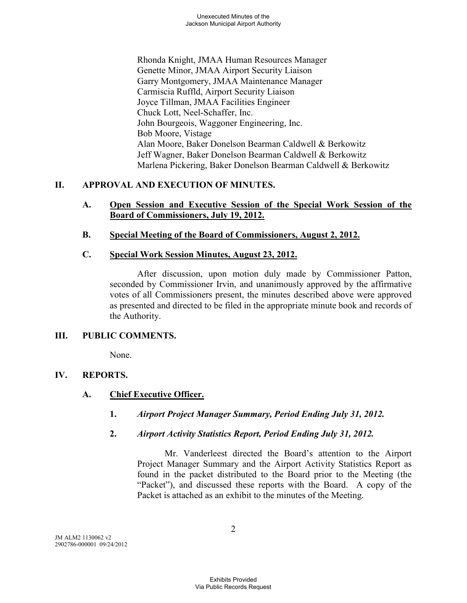Rhonda Knight, JMAA Human Resources Manager Genette Minor, JMAA Airport Security Liaison Garry Montgomery, JMAA Maintenance Manager Carmiscia Ruffld, Airport Security Liaison Joyce Tillman, JMAA Facilities Engineer Chuck Lott, Neel-Schaffer, Inc. John Bourgeois, Waggoner Engineering, Inc. Bob Moore, Vistage Alan Moore, Baker Donelson Bearman Caldwell & Berkowitz Jeff Wagner, Baker Donelson Bearman Caldwell & Berkowitz Marlena Pickering, Baker Donelson Bearman Caldwell & Berkowitz

# **II. APPROVAL AND EXECUTION OF MINUTES.**

- **A. Open Session and Executive Session of the Special Work Session of the Board of Commissioners, July 19, 2012.**
- **B. Special Meeting of the Board of Commissioners, August 2, 2012.**

# **C. Special Work Session Minutes, August 23, 2012.**

After discussion, upon motion duly made by Commissioner Patton, seconded by Commissioner Irvin, and unanimously approved by the affirmative votes of all Commissioners present, the minutes described above were approved as presented and directed to be filed in the appropriate minute book and records of the Authority.

# **III. PUBLIC COMMENTS.**

None.

# **IV. REPORTS.**

# **A. Chief Executive Officer.**

- **1.** *Airport Project Manager Summary, Period Ending July 31, 2012.*
- **2.** *Airport Activity Statistics Report, Period Ending July 31, 2012.*

Mr. Vanderleest directed the Board's attention to the Airport Project Manager Summary and the Airport Activity Statistics Report as found in the packet distributed to the Board prior to the Meeting (the "Packet"), and discussed these reports with the Board. A copy of the Packet is attached as an exhibit to the minutes of the Meeting.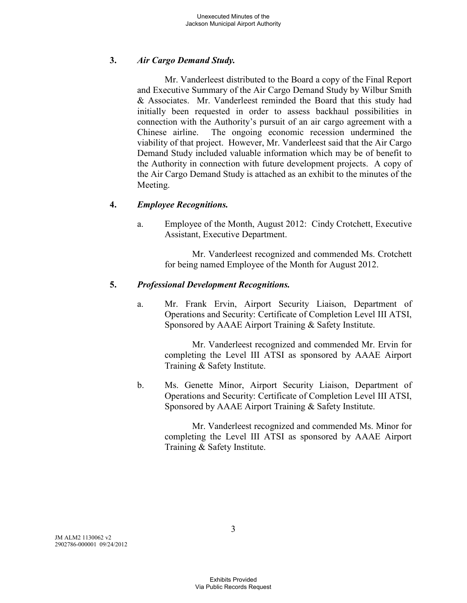# **3.** *Air Cargo Demand Study.*

Mr. Vanderleest distributed to the Board a copy of the Final Report and Executive Summary of the Air Cargo Demand Study by Wilbur Smith & Associates. Mr. Vanderleest reminded the Board that this study had initially been requested in order to assess backhaul possibilities in connection with the Authority's pursuit of an air cargo agreement with a Chinese airline. The ongoing economic recession undermined the viability of that project. However, Mr. Vanderleest said that the Air Cargo Demand Study included valuable information which may be of benefit to the Authority in connection with future development projects. A copy of the Air Cargo Demand Study is attached as an exhibit to the minutes of the Meeting.

## **4.** *Employee Recognitions.*

a. Employee of the Month, August 2012: Cindy Crotchett, Executive Assistant, Executive Department.

> Mr. Vanderleest recognized and commended Ms. Crotchett for being named Employee of the Month for August 2012.

## **5.** *Professional Development Recognitions.*

a. Mr. Frank Ervin, Airport Security Liaison, Department of Operations and Security: Certificate of Completion Level III ATSI, Sponsored by AAAE Airport Training & Safety Institute.

> Mr. Vanderleest recognized and commended Mr. Ervin for completing the Level III ATSI as sponsored by AAAE Airport Training & Safety Institute.

b. Ms. Genette Minor, Airport Security Liaison, Department of Operations and Security: Certificate of Completion Level III ATSI, Sponsored by AAAE Airport Training & Safety Institute.

> Mr. Vanderleest recognized and commended Ms. Minor for completing the Level III ATSI as sponsored by AAAE Airport Training & Safety Institute.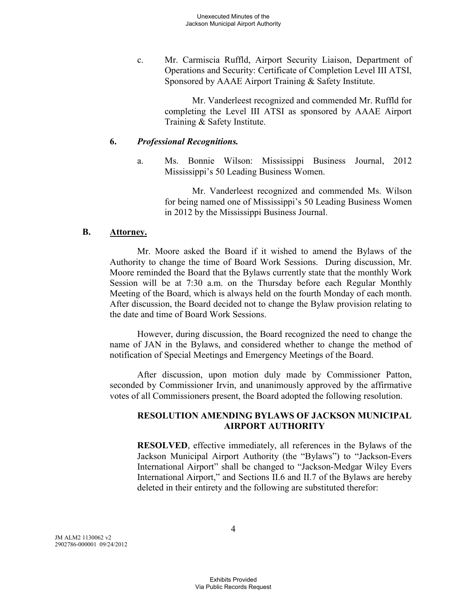c. Mr. Carmiscia Ruffld, Airport Security Liaison, Department of Operations and Security: Certificate of Completion Level III ATSI, Sponsored by AAAE Airport Training & Safety Institute.

> Mr. Vanderleest recognized and commended Mr. Ruffld for completing the Level III ATSI as sponsored by AAAE Airport Training & Safety Institute.

### **6.** *Professional Recognitions.*

a. Ms. Bonnie Wilson: Mississippi Business Journal, 2012 Mississippi's 50 Leading Business Women.

> Mr. Vanderleest recognized and commended Ms. Wilson for being named one of Mississippi's 50 Leading Business Women in 2012 by the Mississippi Business Journal.

### **B. Attorney.**

Mr. Moore asked the Board if it wished to amend the Bylaws of the Authority to change the time of Board Work Sessions. During discussion, Mr. Moore reminded the Board that the Bylaws currently state that the monthly Work Session will be at 7:30 a.m. on the Thursday before each Regular Monthly Meeting of the Board, which is always held on the fourth Monday of each month. After discussion, the Board decided not to change the Bylaw provision relating to the date and time of Board Work Sessions.

However, during discussion, the Board recognized the need to change the name of JAN in the Bylaws, and considered whether to change the method of notification of Special Meetings and Emergency Meetings of the Board.

After discussion, upon motion duly made by Commissioner Patton, seconded by Commissioner Irvin, and unanimously approved by the affirmative votes of all Commissioners present, the Board adopted the following resolution.

## **RESOLUTION AMENDING BYLAWS OF JACKSON MUNICIPAL AIRPORT AUTHORITY**

**RESOLVED**, effective immediately, all references in the Bylaws of the Jackson Municipal Airport Authority (the "Bylaws") to "Jackson-Evers International Airport" shall be changed to "Jackson-Medgar Wiley Evers International Airport," and Sections II.6 and II.7 of the Bylaws are hereby deleted in their entirety and the following are substituted therefor: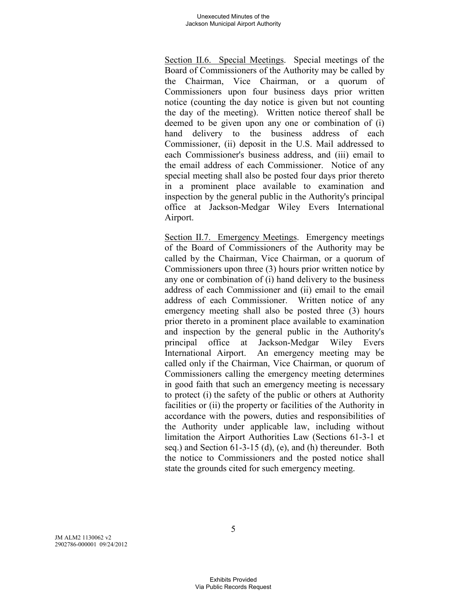Section II.6. Special Meetings. Special meetings of the Board of Commissioners of the Authority may be called by the Chairman, Vice Chairman, or a quorum of Commissioners upon four business days prior written notice (counting the day notice is given but not counting the day of the meeting). Written notice thereof shall be deemed to be given upon any one or combination of (i) hand delivery to the business address of each Commissioner, (ii) deposit in the U.S. Mail addressed to each Commissioner's business address, and (iii) email to the email address of each Commissioner. Notice of any special meeting shall also be posted four days prior thereto in a prominent place available to examination and inspection by the general public in the Authority's principal office at Jackson-Medgar Wiley Evers International Airport.

Section II.7. Emergency Meetings. Emergency meetings of the Board of Commissioners of the Authority may be called by the Chairman, Vice Chairman, or a quorum of Commissioners upon three (3) hours prior written notice by any one or combination of (i) hand delivery to the business address of each Commissioner and (ii) email to the email address of each Commissioner. Written notice of any emergency meeting shall also be posted three (3) hours prior thereto in a prominent place available to examination and inspection by the general public in the Authority's principal office at Jackson-Medgar Wiley Evers International Airport. An emergency meeting may be called only if the Chairman, Vice Chairman, or quorum of Commissioners calling the emergency meeting determines in good faith that such an emergency meeting is necessary to protect (i) the safety of the public or others at Authority facilities or (ii) the property or facilities of the Authority in accordance with the powers, duties and responsibilities of the Authority under applicable law, including without limitation the Airport Authorities Law (Sections 61-3-1 et seq.) and Section 61-3-15 (d), (e), and (h) thereunder. Both the notice to Commissioners and the posted notice shall state the grounds cited for such emergency meeting.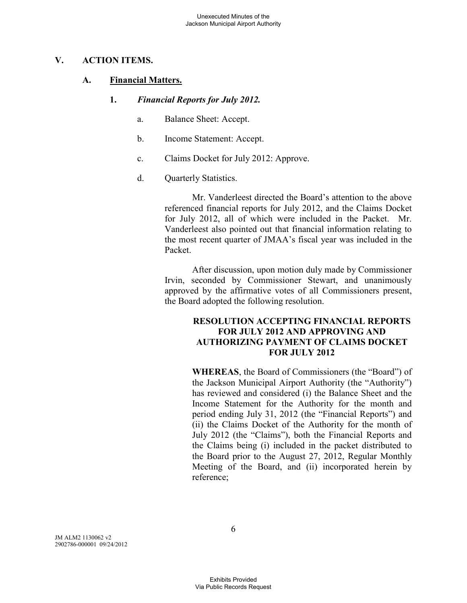## **V. ACTION ITEMS.**

## **A. Financial Matters.**

- **1.** *Financial Reports for July 2012.* 
	- a. Balance Sheet: Accept.
	- b. Income Statement: Accept.
	- c. Claims Docket for July 2012: Approve.
	- d. Quarterly Statistics.

Mr. Vanderleest directed the Board's attention to the above referenced financial reports for July 2012, and the Claims Docket for July 2012, all of which were included in the Packet. Mr. Vanderleest also pointed out that financial information relating to the most recent quarter of JMAA's fiscal year was included in the Packet.

After discussion, upon motion duly made by Commissioner Irvin, seconded by Commissioner Stewart, and unanimously approved by the affirmative votes of all Commissioners present, the Board adopted the following resolution.

## **RESOLUTION ACCEPTING FINANCIAL REPORTS FOR JULY 2012 AND APPROVING AND AUTHORIZING PAYMENT OF CLAIMS DOCKET FOR JULY 2012**

**WHEREAS**, the Board of Commissioners (the "Board") of the Jackson Municipal Airport Authority (the "Authority") has reviewed and considered (i) the Balance Sheet and the Income Statement for the Authority for the month and period ending July 31, 2012 (the "Financial Reports") and (ii) the Claims Docket of the Authority for the month of July 2012 (the "Claims"), both the Financial Reports and the Claims being (i) included in the packet distributed to the Board prior to the August 27, 2012, Regular Monthly Meeting of the Board, and (ii) incorporated herein by reference;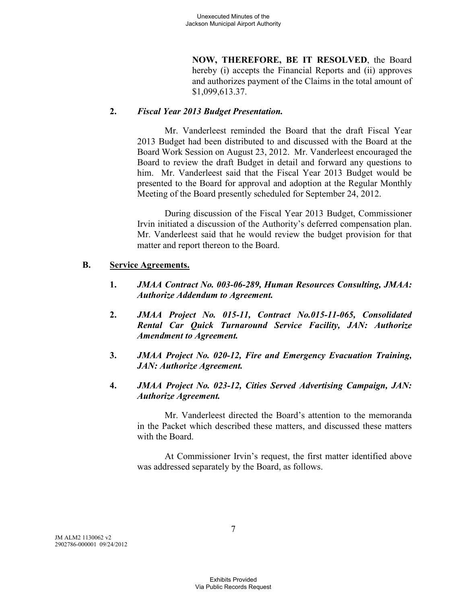**NOW, THEREFORE, BE IT RESOLVED**, the Board hereby (i) accepts the Financial Reports and (ii) approves and authorizes payment of the Claims in the total amount of \$1,099,613.37.

## **2.** *Fiscal Year 2013 Budget Presentation.*

Mr. Vanderleest reminded the Board that the draft Fiscal Year 2013 Budget had been distributed to and discussed with the Board at the Board Work Session on August 23, 2012. Mr. Vanderleest encouraged the Board to review the draft Budget in detail and forward any questions to him. Mr. Vanderleest said that the Fiscal Year 2013 Budget would be presented to the Board for approval and adoption at the Regular Monthly Meeting of the Board presently scheduled for September 24, 2012.

During discussion of the Fiscal Year 2013 Budget, Commissioner Irvin initiated a discussion of the Authority's deferred compensation plan. Mr. Vanderleest said that he would review the budget provision for that matter and report thereon to the Board.

### **B. Service Agreements.**

- **1.** *JMAA Contract No. 003-06-289, Human Resources Consulting, JMAA: Authorize Addendum to Agreement.*
- **2.** *JMAA Project No. 015-11, Contract No.015-11-065, Consolidated Rental Car Quick Turnaround Service Facility, JAN: Authorize Amendment to Agreement.*
- **3.** *JMAA Project No. 020-12, Fire and Emergency Evacuation Training, JAN: Authorize Agreement.*
- **4.** *JMAA Project No. 023-12, Cities Served Advertising Campaign, JAN: Authorize Agreement.*

Mr. Vanderleest directed the Board's attention to the memoranda in the Packet which described these matters, and discussed these matters with the Board.

At Commissioner Irvin's request, the first matter identified above was addressed separately by the Board, as follows.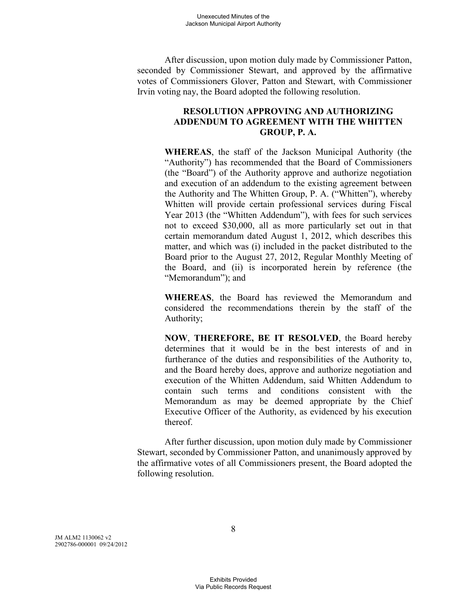After discussion, upon motion duly made by Commissioner Patton, seconded by Commissioner Stewart, and approved by the affirmative votes of Commissioners Glover, Patton and Stewart, with Commissioner Irvin voting nay, the Board adopted the following resolution.

## **RESOLUTION APPROVING AND AUTHORIZING ADDENDUM TO AGREEMENT WITH THE WHITTEN GROUP, P. A.**

**WHEREAS**, the staff of the Jackson Municipal Authority (the "Authority") has recommended that the Board of Commissioners (the "Board") of the Authority approve and authorize negotiation and execution of an addendum to the existing agreement between the Authority and The Whitten Group, P. A. ("Whitten"), whereby Whitten will provide certain professional services during Fiscal Year 2013 (the "Whitten Addendum"), with fees for such services not to exceed \$30,000, all as more particularly set out in that certain memorandum dated August 1, 2012, which describes this matter, and which was (i) included in the packet distributed to the Board prior to the August 27, 2012, Regular Monthly Meeting of the Board, and (ii) is incorporated herein by reference (the "Memorandum"); and

**WHEREAS**, the Board has reviewed the Memorandum and considered the recommendations therein by the staff of the Authority;

**NOW**, **THEREFORE, BE IT RESOLVED**, the Board hereby determines that it would be in the best interests of and in furtherance of the duties and responsibilities of the Authority to, and the Board hereby does, approve and authorize negotiation and execution of the Whitten Addendum, said Whitten Addendum to contain such terms and conditions consistent with the Memorandum as may be deemed appropriate by the Chief Executive Officer of the Authority, as evidenced by his execution thereof.

After further discussion, upon motion duly made by Commissioner Stewart, seconded by Commissioner Patton, and unanimously approved by the affirmative votes of all Commissioners present, the Board adopted the following resolution.

JM ALM2 1130062 v2 2902786-000001 09/24/2012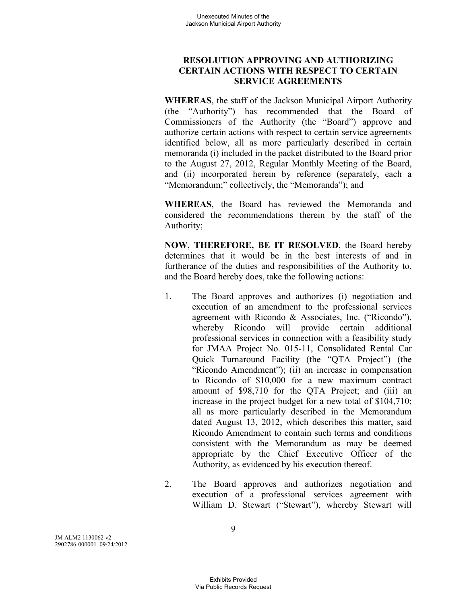# **RESOLUTION APPROVING AND AUTHORIZING CERTAIN ACTIONS WITH RESPECT TO CERTAIN SERVICE AGREEMENTS**

**WHEREAS**, the staff of the Jackson Municipal Airport Authority (the "Authority") has recommended that the Board of Commissioners of the Authority (the "Board") approve and authorize certain actions with respect to certain service agreements identified below, all as more particularly described in certain memoranda (i) included in the packet distributed to the Board prior to the August 27, 2012, Regular Monthly Meeting of the Board, and (ii) incorporated herein by reference (separately, each a "Memorandum;" collectively, the "Memoranda"); and

**WHEREAS**, the Board has reviewed the Memoranda and considered the recommendations therein by the staff of the Authority;

**NOW**, **THEREFORE, BE IT RESOLVED**, the Board hereby determines that it would be in the best interests of and in furtherance of the duties and responsibilities of the Authority to, and the Board hereby does, take the following actions:

- 1. The Board approves and authorizes (i) negotiation and execution of an amendment to the professional services agreement with Ricondo & Associates, Inc. ("Ricondo"), whereby Ricondo will provide certain additional professional services in connection with a feasibility study for JMAA Project No. 015-11, Consolidated Rental Car Quick Turnaround Facility (the "QTA Project") (the "Ricondo Amendment"); (ii) an increase in compensation to Ricondo of \$10,000 for a new maximum contract amount of \$98,710 for the QTA Project; and (iii) an increase in the project budget for a new total of \$104,710; all as more particularly described in the Memorandum dated August 13, 2012, which describes this matter, said Ricondo Amendment to contain such terms and conditions consistent with the Memorandum as may be deemed appropriate by the Chief Executive Officer of the Authority, as evidenced by his execution thereof.
- 2. The Board approves and authorizes negotiation and execution of a professional services agreement with William D. Stewart ("Stewart"), whereby Stewart will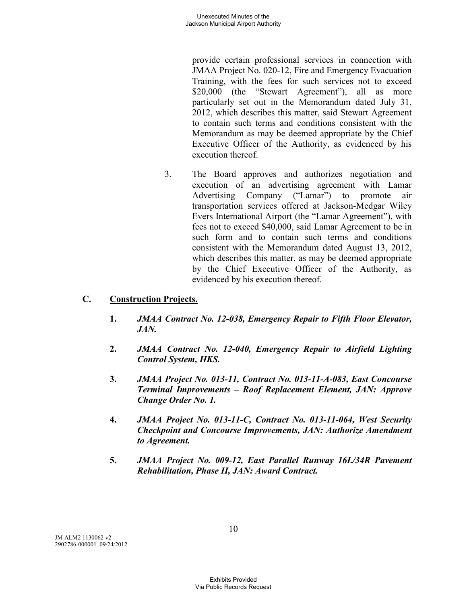provide certain professional services in connection with JMAA Project No. 020-12, Fire and Emergency Evacuation Training, with the fees for such services not to exceed \$20,000 (the "Stewart Agreement"), all as more particularly set out in the Memorandum dated July 31, 2012, which describes this matter, said Stewart Agreement to contain such terms and conditions consistent with the Memorandum as may be deemed appropriate by the Chief Executive Officer of the Authority, as evidenced by his execution thereof.

3. The Board approves and authorizes negotiation and execution of an advertising agreement with Lamar Advertising Company ("Lamar") to promote air transportation services offered at Jackson-Medgar Wiley Evers International Airport (the "Lamar Agreement"), with fees not to exceed \$40,000, said Lamar Agreement to be in such form and to contain such terms and conditions consistent with the Memorandum dated August 13, 2012, which describes this matter, as may be deemed appropriate by the Chief Executive Officer of the Authority, as evidenced by his execution thereof.

# **C. Construction Projects.**

- **1.** *JMAA Contract No. 12-038, Emergency Repair to Fifth Floor Elevator, JAN.*
- **2.** *JMAA Contract No. 12-040, Emergency Repair to Airfield Lighting Control System, HKS.*
- **3.** *JMAA Project No. 013-11, Contract No. 013-11-A-083, East Concourse Terminal Improvements – Roof Replacement Element, JAN: Approve Change Order No. 1.*
- **4.** *JMAA Project No. 013-11-C, Contract No. 013-11-064, West Security Checkpoint and Concourse Improvements, JAN: Authorize Amendment to Agreement.*
- **5.** *JMAA Project No. 009-12, East Parallel Runway 16L/34R Pavement Rehabilitation, Phase II, JAN: Award Contract.*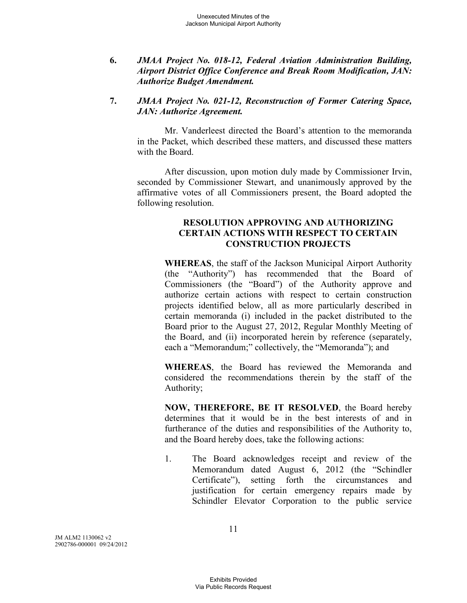**6.** *JMAA Project No. 018-12, Federal Aviation Administration Building, Airport District Office Conference and Break Room Modification, JAN: Authorize Budget Amendment.* 

### **7.** *JMAA Project No. 021-12, Reconstruction of Former Catering Space, JAN: Authorize Agreement.*

Mr. Vanderleest directed the Board's attention to the memoranda in the Packet, which described these matters, and discussed these matters with the Board.

After discussion, upon motion duly made by Commissioner Irvin, seconded by Commissioner Stewart, and unanimously approved by the affirmative votes of all Commissioners present, the Board adopted the following resolution.

### **RESOLUTION APPROVING AND AUTHORIZING CERTAIN ACTIONS WITH RESPECT TO CERTAIN CONSTRUCTION PROJECTS**

**WHEREAS**, the staff of the Jackson Municipal Airport Authority (the "Authority") has recommended that the Board of Commissioners (the "Board") of the Authority approve and authorize certain actions with respect to certain construction projects identified below, all as more particularly described in certain memoranda (i) included in the packet distributed to the Board prior to the August 27, 2012, Regular Monthly Meeting of the Board, and (ii) incorporated herein by reference (separately, each a "Memorandum;" collectively, the "Memoranda"); and

**WHEREAS**, the Board has reviewed the Memoranda and considered the recommendations therein by the staff of the Authority;

**NOW, THEREFORE, BE IT RESOLVED**, the Board hereby determines that it would be in the best interests of and in furtherance of the duties and responsibilities of the Authority to, and the Board hereby does, take the following actions:

1. The Board acknowledges receipt and review of the Memorandum dated August 6, 2012 (the "Schindler Certificate"), setting forth the circumstances and justification for certain emergency repairs made by Schindler Elevator Corporation to the public service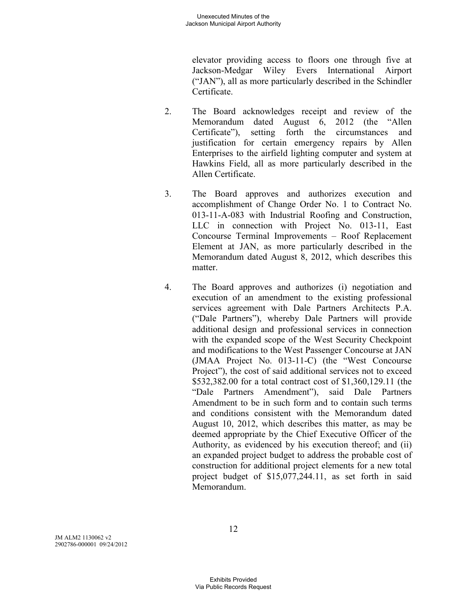elevator providing access to floors one through five at Jackson-Medgar Wiley Evers International Airport ("JAN"), all as more particularly described in the Schindler Certificate.

- 2. The Board acknowledges receipt and review of the Memorandum dated August 6, 2012 (the "Allen Certificate"), setting forth the circumstances and justification for certain emergency repairs by Allen Enterprises to the airfield lighting computer and system at Hawkins Field, all as more particularly described in the Allen Certificate.
- 3. The Board approves and authorizes execution and accomplishment of Change Order No. 1 to Contract No. 013-11-A-083 with Industrial Roofing and Construction, LLC in connection with Project No. 013-11, East Concourse Terminal Improvements – Roof Replacement Element at JAN, as more particularly described in the Memorandum dated August 8, 2012, which describes this matter.
- 4. The Board approves and authorizes (i) negotiation and execution of an amendment to the existing professional services agreement with Dale Partners Architects P.A. ("Dale Partners"), whereby Dale Partners will provide additional design and professional services in connection with the expanded scope of the West Security Checkpoint and modifications to the West Passenger Concourse at JAN (JMAA Project No. 013-11-C) (the "West Concourse Project"), the cost of said additional services not to exceed \$532,382.00 for a total contract cost of \$1,360,129.11 (the "Dale Partners Amendment"), said Dale Partners Amendment to be in such form and to contain such terms and conditions consistent with the Memorandum dated August 10, 2012, which describes this matter, as may be deemed appropriate by the Chief Executive Officer of the Authority, as evidenced by his execution thereof; and (ii) an expanded project budget to address the probable cost of construction for additional project elements for a new total project budget of \$15,077,244.11, as set forth in said Memorandum.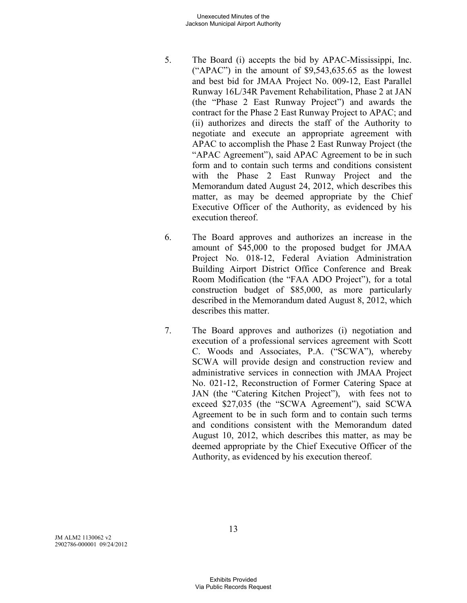- 5. The Board (i) accepts the bid by APAC-Mississippi, Inc. (" $APAC$ ") in the amount of \$9,543,635.65 as the lowest and best bid for JMAA Project No. 009-12, East Parallel Runway 16L/34R Pavement Rehabilitation, Phase 2 at JAN (the "Phase 2 East Runway Project") and awards the contract for the Phase 2 East Runway Project to APAC; and (ii) authorizes and directs the staff of the Authority to negotiate and execute an appropriate agreement with APAC to accomplish the Phase 2 East Runway Project (the "APAC Agreement"), said APAC Agreement to be in such form and to contain such terms and conditions consistent with the Phase 2 East Runway Project and the Memorandum dated August 24, 2012, which describes this matter, as may be deemed appropriate by the Chief Executive Officer of the Authority, as evidenced by his execution thereof.
- 6. The Board approves and authorizes an increase in the amount of \$45,000 to the proposed budget for JMAA Project No. 018-12, Federal Aviation Administration Building Airport District Office Conference and Break Room Modification (the "FAA ADO Project"), for a total construction budget of \$85,000, as more particularly described in the Memorandum dated August 8, 2012, which describes this matter.
- 7. The Board approves and authorizes (i) negotiation and execution of a professional services agreement with Scott C. Woods and Associates, P.A. ("SCWA"), whereby SCWA will provide design and construction review and administrative services in connection with JMAA Project No. 021-12, Reconstruction of Former Catering Space at JAN (the "Catering Kitchen Project"), with fees not to exceed \$27,035 (the "SCWA Agreement"), said SCWA Agreement to be in such form and to contain such terms and conditions consistent with the Memorandum dated August 10, 2012, which describes this matter, as may be deemed appropriate by the Chief Executive Officer of the Authority, as evidenced by his execution thereof.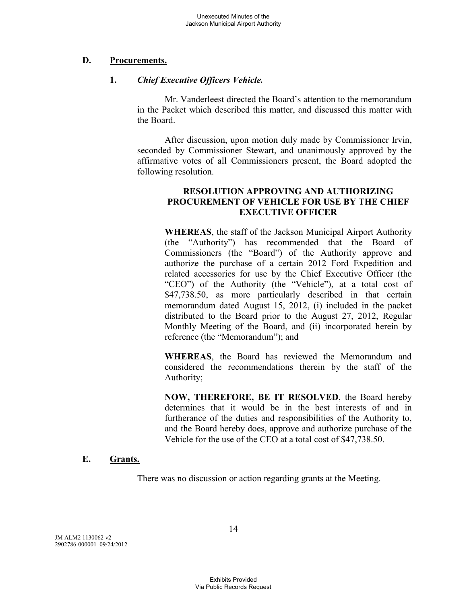## **D. Procurements.**

## **1.** *Chief Executive Officers Vehicle.*

Mr. Vanderleest directed the Board's attention to the memorandum in the Packet which described this matter, and discussed this matter with the Board.

After discussion, upon motion duly made by Commissioner Irvin, seconded by Commissioner Stewart, and unanimously approved by the affirmative votes of all Commissioners present, the Board adopted the following resolution.

## **RESOLUTION APPROVING AND AUTHORIZING PROCUREMENT OF VEHICLE FOR USE BY THE CHIEF EXECUTIVE OFFICER**

**WHEREAS**, the staff of the Jackson Municipal Airport Authority (the "Authority") has recommended that the Board of Commissioners (the "Board") of the Authority approve and authorize the purchase of a certain 2012 Ford Expedition and related accessories for use by the Chief Executive Officer (the "CEO") of the Authority (the "Vehicle"), at a total cost of \$47,738.50, as more particularly described in that certain memorandum dated August 15, 2012, (i) included in the packet distributed to the Board prior to the August 27, 2012, Regular Monthly Meeting of the Board, and (ii) incorporated herein by reference (the "Memorandum"); and

**WHEREAS**, the Board has reviewed the Memorandum and considered the recommendations therein by the staff of the Authority;

**NOW, THEREFORE, BE IT RESOLVED**, the Board hereby determines that it would be in the best interests of and in furtherance of the duties and responsibilities of the Authority to, and the Board hereby does, approve and authorize purchase of the Vehicle for the use of the CEO at a total cost of \$47,738.50.

### **E. Grants.**

There was no discussion or action regarding grants at the Meeting.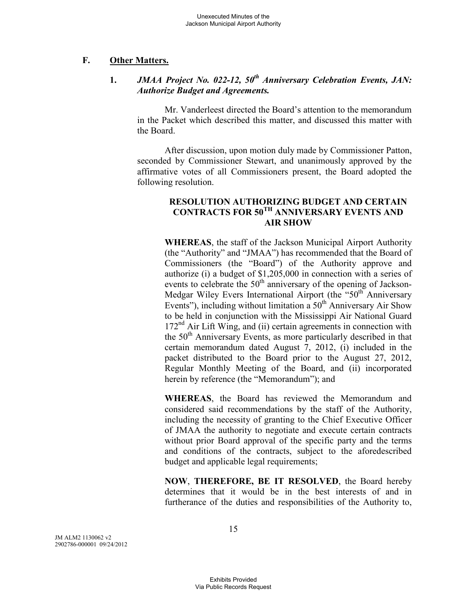## **F. Other Matters.**

# **1.** *JMAA Project No. 022-12, 50th Anniversary Celebration Events, JAN: Authorize Budget and Agreements.*

Mr. Vanderleest directed the Board's attention to the memorandum in the Packet which described this matter, and discussed this matter with the Board.

After discussion, upon motion duly made by Commissioner Patton, seconded by Commissioner Stewart, and unanimously approved by the affirmative votes of all Commissioners present, the Board adopted the following resolution.

### **RESOLUTION AUTHORIZING BUDGET AND CERTAIN CONTRACTS FOR 50TH ANNIVERSARY EVENTS AND AIR SHOW**

**WHEREAS**, the staff of the Jackson Municipal Airport Authority (the "Authority" and "JMAA") has recommended that the Board of Commissioners (the "Board") of the Authority approve and authorize (i) a budget of \$1,205,000 in connection with a series of events to celebrate the  $50<sup>th</sup>$  anniversary of the opening of Jackson-Medgar Wiley Evers International Airport (the "50<sup>th"</sup> Anniversary Events"), including without limitation a  $50<sup>th</sup>$  Anniversary Air Show to be held in conjunction with the Mississippi Air National Guard 172<sup>nd</sup> Air Lift Wing, and (ii) certain agreements in connection with the 50<sup>th</sup> Anniversary Events, as more particularly described in that certain memorandum dated August 7, 2012, (i) included in the packet distributed to the Board prior to the August 27, 2012, Regular Monthly Meeting of the Board, and (ii) incorporated herein by reference (the "Memorandum"); and

**WHEREAS**, the Board has reviewed the Memorandum and considered said recommendations by the staff of the Authority, including the necessity of granting to the Chief Executive Officer of JMAA the authority to negotiate and execute certain contracts without prior Board approval of the specific party and the terms and conditions of the contracts, subject to the aforedescribed budget and applicable legal requirements;

**NOW**, **THEREFORE, BE IT RESOLVED**, the Board hereby determines that it would be in the best interests of and in furtherance of the duties and responsibilities of the Authority to,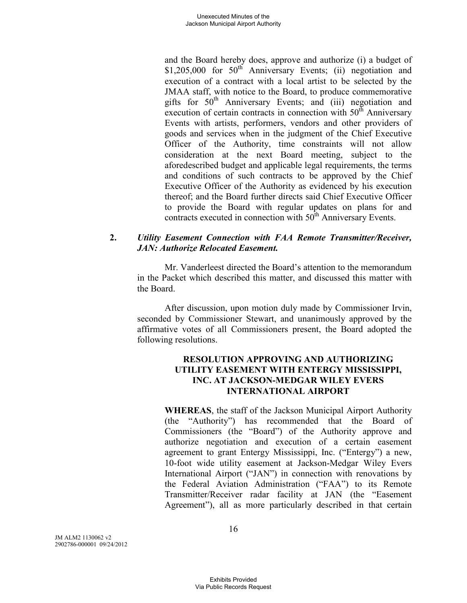and the Board hereby does, approve and authorize (i) a budget of  $$1,205,000$  for  $50<sup>th</sup>$  Anniversary Events; (ii) negotiation and execution of a contract with a local artist to be selected by the JMAA staff, with notice to the Board, to produce commemorative gifts for  $50<sup>th</sup>$  Anniversary Events; and (iii) negotiation and execution of certain contracts in connection with  $50<sup>th</sup>$  Anniversary Events with artists, performers, vendors and other providers of goods and services when in the judgment of the Chief Executive Officer of the Authority, time constraints will not allow consideration at the next Board meeting, subject to the aforedescribed budget and applicable legal requirements, the terms and conditions of such contracts to be approved by the Chief Executive Officer of the Authority as evidenced by his execution thereof; and the Board further directs said Chief Executive Officer to provide the Board with regular updates on plans for and contracts executed in connection with 50<sup>th</sup> Anniversary Events.

## **2.** *Utility Easement Connection with FAA Remote Transmitter/Receiver, JAN: Authorize Relocated Easement.*

Mr. Vanderleest directed the Board's attention to the memorandum in the Packet which described this matter, and discussed this matter with the Board.

After discussion, upon motion duly made by Commissioner Irvin, seconded by Commissioner Stewart, and unanimously approved by the affirmative votes of all Commissioners present, the Board adopted the following resolutions.

## **RESOLUTION APPROVING AND AUTHORIZING UTILITY EASEMENT WITH ENTERGY MISSISSIPPI, INC. AT JACKSON-MEDGAR WILEY EVERS INTERNATIONAL AIRPORT**

**WHEREAS**, the staff of the Jackson Municipal Airport Authority (the "Authority") has recommended that the Board of Commissioners (the "Board") of the Authority approve and authorize negotiation and execution of a certain easement agreement to grant Entergy Mississippi, Inc. ("Entergy") a new, 10-foot wide utility easement at Jackson-Medgar Wiley Evers International Airport ("JAN") in connection with renovations by the Federal Aviation Administration ("FAA") to its Remote Transmitter/Receiver radar facility at JAN (the "Easement Agreement"), all as more particularly described in that certain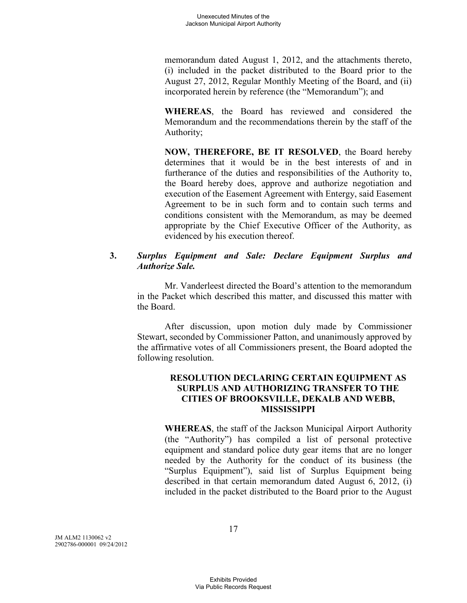memorandum dated August 1, 2012, and the attachments thereto, (i) included in the packet distributed to the Board prior to the August 27, 2012, Regular Monthly Meeting of the Board, and (ii) incorporated herein by reference (the "Memorandum"); and

**WHEREAS**, the Board has reviewed and considered the Memorandum and the recommendations therein by the staff of the Authority;

**NOW, THEREFORE, BE IT RESOLVED**, the Board hereby determines that it would be in the best interests of and in furtherance of the duties and responsibilities of the Authority to, the Board hereby does, approve and authorize negotiation and execution of the Easement Agreement with Entergy, said Easement Agreement to be in such form and to contain such terms and conditions consistent with the Memorandum, as may be deemed appropriate by the Chief Executive Officer of the Authority, as evidenced by his execution thereof.

## **3.** *Surplus Equipment and Sale: Declare Equipment Surplus and Authorize Sale.*

Mr. Vanderleest directed the Board's attention to the memorandum in the Packet which described this matter, and discussed this matter with the Board.

After discussion, upon motion duly made by Commissioner Stewart, seconded by Commissioner Patton, and unanimously approved by the affirmative votes of all Commissioners present, the Board adopted the following resolution.

## **RESOLUTION DECLARING CERTAIN EQUIPMENT AS SURPLUS AND AUTHORIZING TRANSFER TO THE CITIES OF BROOKSVILLE, DEKALB AND WEBB, MISSISSIPPI**

**WHEREAS**, the staff of the Jackson Municipal Airport Authority (the "Authority") has compiled a list of personal protective equipment and standard police duty gear items that are no longer needed by the Authority for the conduct of its business (the "Surplus Equipment"), said list of Surplus Equipment being described in that certain memorandum dated August 6, 2012, (i) included in the packet distributed to the Board prior to the August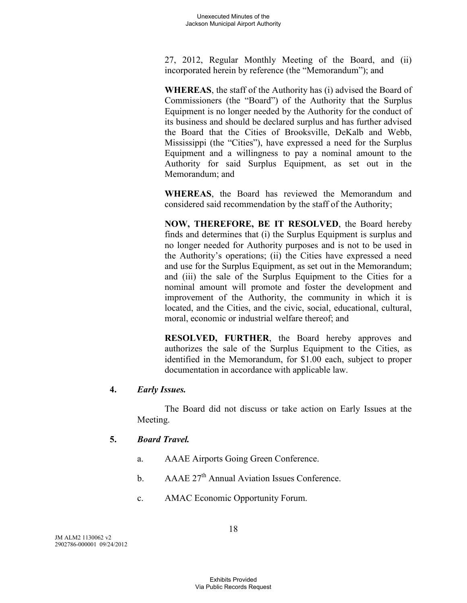27, 2012, Regular Monthly Meeting of the Board, and (ii) incorporated herein by reference (the "Memorandum"); and

**WHEREAS**, the staff of the Authority has (i) advised the Board of Commissioners (the "Board") of the Authority that the Surplus Equipment is no longer needed by the Authority for the conduct of its business and should be declared surplus and has further advised the Board that the Cities of Brooksville, DeKalb and Webb, Mississippi (the "Cities"), have expressed a need for the Surplus Equipment and a willingness to pay a nominal amount to the Authority for said Surplus Equipment, as set out in the Memorandum; and

**WHEREAS**, the Board has reviewed the Memorandum and considered said recommendation by the staff of the Authority;

**NOW, THEREFORE, BE IT RESOLVED**, the Board hereby finds and determines that (i) the Surplus Equipment is surplus and no longer needed for Authority purposes and is not to be used in the Authority's operations; (ii) the Cities have expressed a need and use for the Surplus Equipment, as set out in the Memorandum; and (iii) the sale of the Surplus Equipment to the Cities for a nominal amount will promote and foster the development and improvement of the Authority, the community in which it is located, and the Cities, and the civic, social, educational, cultural, moral, economic or industrial welfare thereof; and

**RESOLVED, FURTHER**, the Board hereby approves and authorizes the sale of the Surplus Equipment to the Cities, as identified in the Memorandum, for \$1.00 each, subject to proper documentation in accordance with applicable law.

# **4.** *Early Issues.*

The Board did not discuss or take action on Early Issues at the Meeting.

# **5.** *Board Travel.*

- a. AAAE Airports Going Green Conference.
- b.  $AAAE 27<sup>th</sup> Annual Aviation Issues Conference.$
- c. AMAC Economic Opportunity Forum.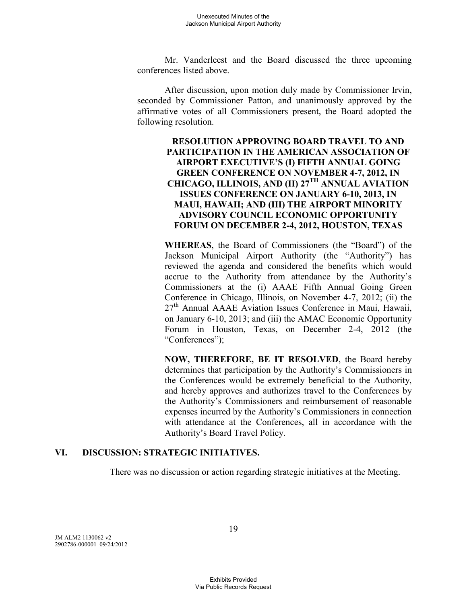Mr. Vanderleest and the Board discussed the three upcoming conferences listed above.

After discussion, upon motion duly made by Commissioner Irvin, seconded by Commissioner Patton, and unanimously approved by the affirmative votes of all Commissioners present, the Board adopted the following resolution.

## **RESOLUTION APPROVING BOARD TRAVEL TO AND PARTICIPATION IN THE AMERICAN ASSOCIATION OF AIRPORT EXECUTIVE'S (I) FIFTH ANNUAL GOING GREEN CONFERENCE ON NOVEMBER 4-7, 2012, IN CHICAGO, ILLINOIS, AND (II) 27TH ANNUAL AVIATION ISSUES CONFERENCE ON JANUARY 6-10, 2013, IN MAUI, HAWAII; AND (III) THE AIRPORT MINORITY ADVISORY COUNCIL ECONOMIC OPPORTUNITY FORUM ON DECEMBER 2-4, 2012, HOUSTON, TEXAS**

**WHEREAS**, the Board of Commissioners (the "Board") of the Jackson Municipal Airport Authority (the "Authority") has reviewed the agenda and considered the benefits which would accrue to the Authority from attendance by the Authority's Commissioners at the (i) AAAE Fifth Annual Going Green Conference in Chicago, Illinois, on November 4-7, 2012; (ii) the  $27<sup>th</sup>$  Annual AAAE Aviation Issues Conference in Maui, Hawaii, on January 6-10, 2013; and (iii) the AMAC Economic Opportunity Forum in Houston, Texas, on December 2-4, 2012 (the "Conferences");

**NOW, THEREFORE, BE IT RESOLVED**, the Board hereby determines that participation by the Authority's Commissioners in the Conferences would be extremely beneficial to the Authority, and hereby approves and authorizes travel to the Conferences by the Authority's Commissioners and reimbursement of reasonable expenses incurred by the Authority's Commissioners in connection with attendance at the Conferences, all in accordance with the Authority's Board Travel Policy.

### **VI. DISCUSSION: STRATEGIC INITIATIVES.**

There was no discussion or action regarding strategic initiatives at the Meeting.